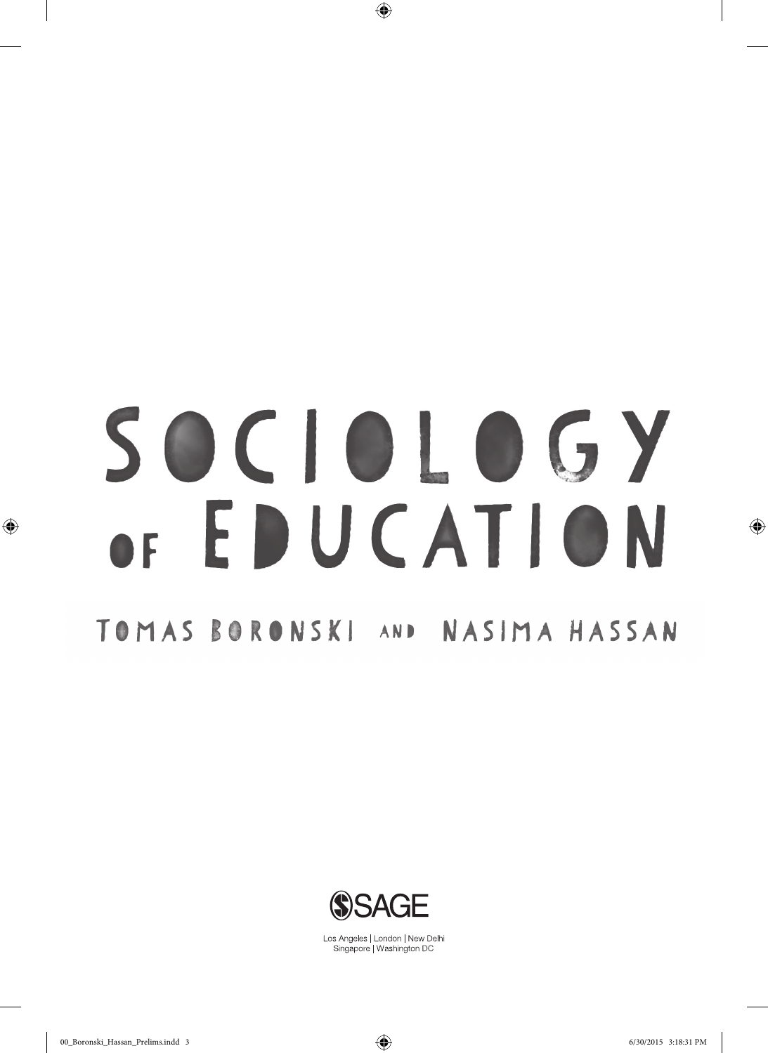# SOCIOLOGY OF EDUCATION TOMAS BORONSKI AND NASIMA HASSAN

 $\bigoplus$ 



Los Angeles | London | New Delhi Singapore | Washington DC

 $\bigoplus$ 

 $\bigoplus$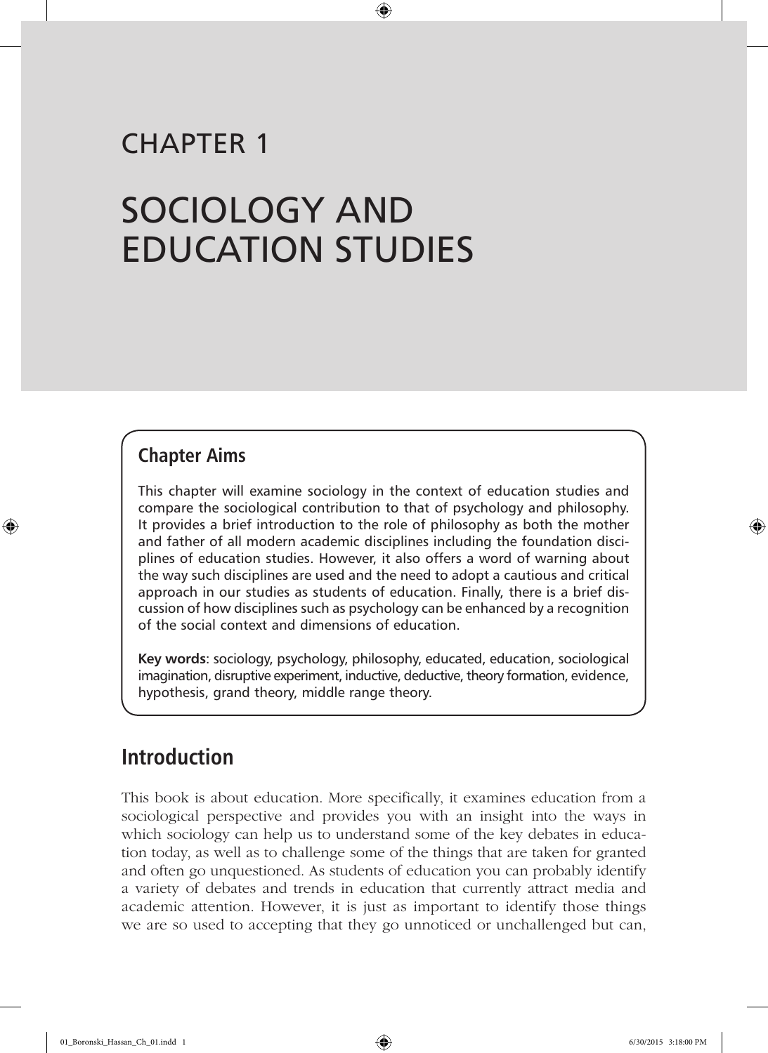## CHAPTER 1

## SOCIOLOGY AND EDUCATION STUDIES

#### **Chapter Aims**

◈

This chapter will examine sociology in the context of education studies and compare the sociological contribution to that of psychology and philosophy. It provides a brief introduction to the role of philosophy as both the mother and father of all modern academic disciplines including the foundation disciplines of education studies. However, it also offers a word of warning about the way such disciplines are used and the need to adopt a cautious and critical approach in our studies as students of education. Finally, there is a brief discussion of how disciplines such as psychology can be enhanced by a recognition of the social context and dimensions of education.

♠

**Key words**: sociology, psychology, philosophy, educated, education, sociological imagination, disruptive experiment, inductive, deductive, theory formation, evidence, hypothesis, grand theory, middle range theory.

## **Introduction**

This book is about education. More specifically, it examines education from a sociological perspective and provides you with an insight into the ways in which sociology can help us to understand some of the key debates in education today, as well as to challenge some of the things that are taken for granted and often go unquestioned. As students of education you can probably identify a variety of debates and trends in education that currently attract media and academic attention. However, it is just as important to identify those things we are so used to accepting that they go unnoticed or unchallenged but can,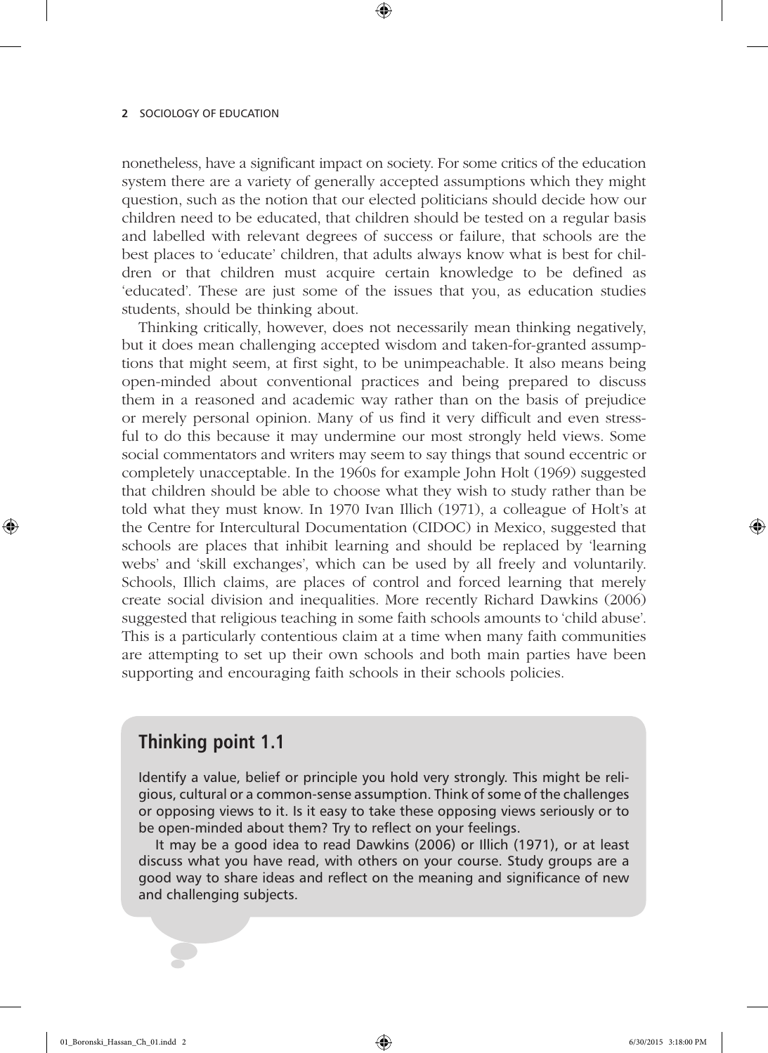nonetheless, have a significant impact on society. For some critics of the education system there are a variety of generally accepted assumptions which they might question, such as the notion that our elected politicians should decide how our children need to be educated, that children should be tested on a regular basis and labelled with relevant degrees of success or failure, that schools are the best places to 'educate' children, that adults always know what is best for children or that children must acquire certain knowledge to be defined as 'educated'. These are just some of the issues that you, as education studies students, should be thinking about.

 $\textcircled{\scriptsize{*}}$ 

Thinking critically, however, does not necessarily mean thinking negatively, but it does mean challenging accepted wisdom and taken-for-granted assumptions that might seem, at first sight, to be unimpeachable. It also means being open-minded about conventional practices and being prepared to discuss them in a reasoned and academic way rather than on the basis of prejudice or merely personal opinion. Many of us find it very difficult and even stressful to do this because it may undermine our most strongly held views. Some social commentators and writers may seem to say things that sound eccentric or completely unacceptable. In the 1960s for example John Holt (1969) suggested that children should be able to choose what they wish to study rather than be told what they must know. In 1970 Ivan Illich (1971), a colleague of Holt's at the Centre for Intercultural Documentation (CIDOC) in Mexico, suggested that schools are places that inhibit learning and should be replaced by 'learning webs' and 'skill exchanges', which can be used by all freely and voluntarily. Schools, Illich claims, are places of control and forced learning that merely create social division and inequalities. More recently Richard Dawkins (2006) suggested that religious teaching in some faith schools amounts to 'child abuse'. This is a particularly contentious claim at a time when many faith communities are attempting to set up their own schools and both main parties have been supporting and encouraging faith schools in their schools policies.

#### **Thinking point 1.1**

Identify a value, belief or principle you hold very strongly. This might be religious, cultural or a common-sense assumption. Think of some of the challenges or opposing views to it. Is it easy to take these opposing views seriously or to be open-minded about them? Try to reflect on your feelings.

It may be a good idea to read Dawkins (2006) or Illich (1971), or at least discuss what you have read, with others on your course. Study groups are a good way to share ideas and reflect on the meaning and significance of new and challenging subjects.

♠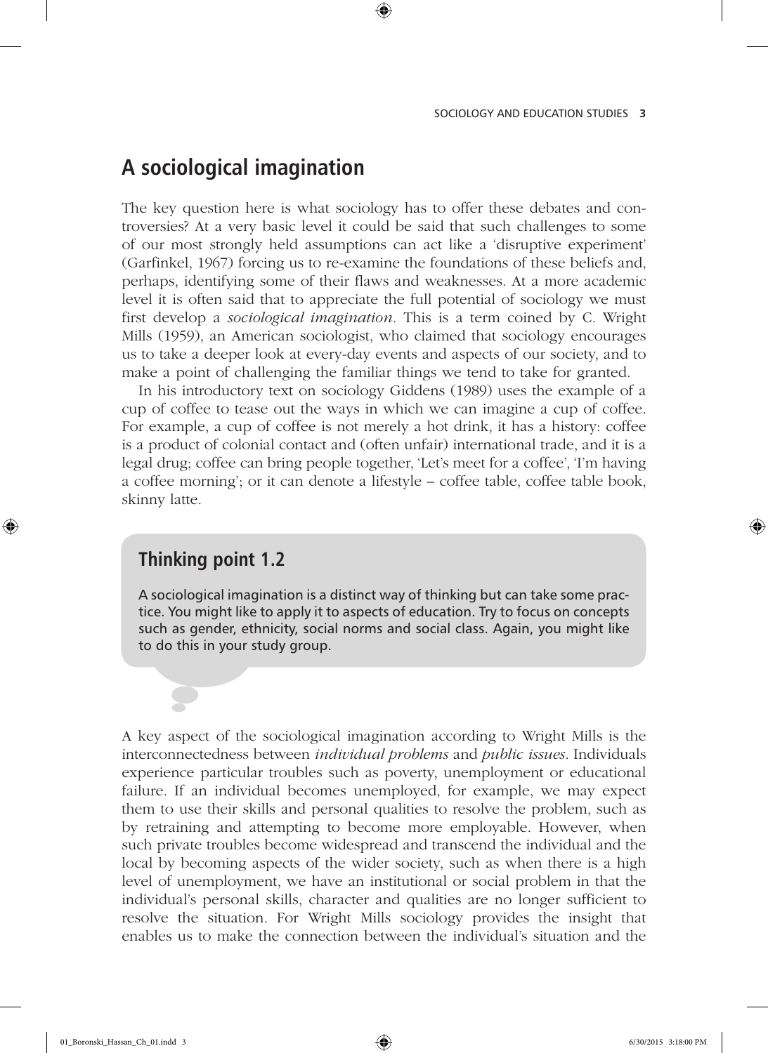## **A sociological imagination**

The key question here is what sociology has to offer these debates and controversies? At a very basic level it could be said that such challenges to some of our most strongly held assumptions can act like a 'disruptive experiment' (Garfinkel, 1967) forcing us to re-examine the foundations of these beliefs and, perhaps, identifying some of their flaws and weaknesses. At a more academic level it is often said that to appreciate the full potential of sociology we must first develop a *sociological imagination.* This is a term coined by C. Wright Mills (1959), an American sociologist, who claimed that sociology encourages us to take a deeper look at every-day events and aspects of our society, and to make a point of challenging the familiar things we tend to take for granted.

 $\textcircled{\scriptsize{*}}$ 

In his introductory text on sociology Giddens (1989) uses the example of a cup of coffee to tease out the ways in which we can imagine a cup of coffee. For example, a cup of coffee is not merely a hot drink, it has a history: coffee is a product of colonial contact and (often unfair) international trade, and it is a legal drug; coffee can bring people together, 'Let's meet for a coffee', 'I'm having a coffee morning'; or it can denote a lifestyle – coffee table, coffee table book, skinny latte.

#### **Thinking point 1.2**

♠

A sociological imagination is a distinct way of thinking but can take some practice. You might like to apply it to aspects of education. Try to focus on concepts such as gender, ethnicity, social norms and social class. Again, you might like to do this in your study group.

A key aspect of the sociological imagination according to Wright Mills is the interconnectedness between *individual problems* and *public issues*. Individuals experience particular troubles such as poverty, unemployment or educational failure. If an individual becomes unemployed, for example, we may expect them to use their skills and personal qualities to resolve the problem, such as by retraining and attempting to become more employable. However, when such private troubles become widespread and transcend the individual and the local by becoming aspects of the wider society, such as when there is a high level of unemployment, we have an institutional or social problem in that the individual's personal skills, character and qualities are no longer sufficient to resolve the situation. For Wright Mills sociology provides the insight that enables us to make the connection between the individual's situation and the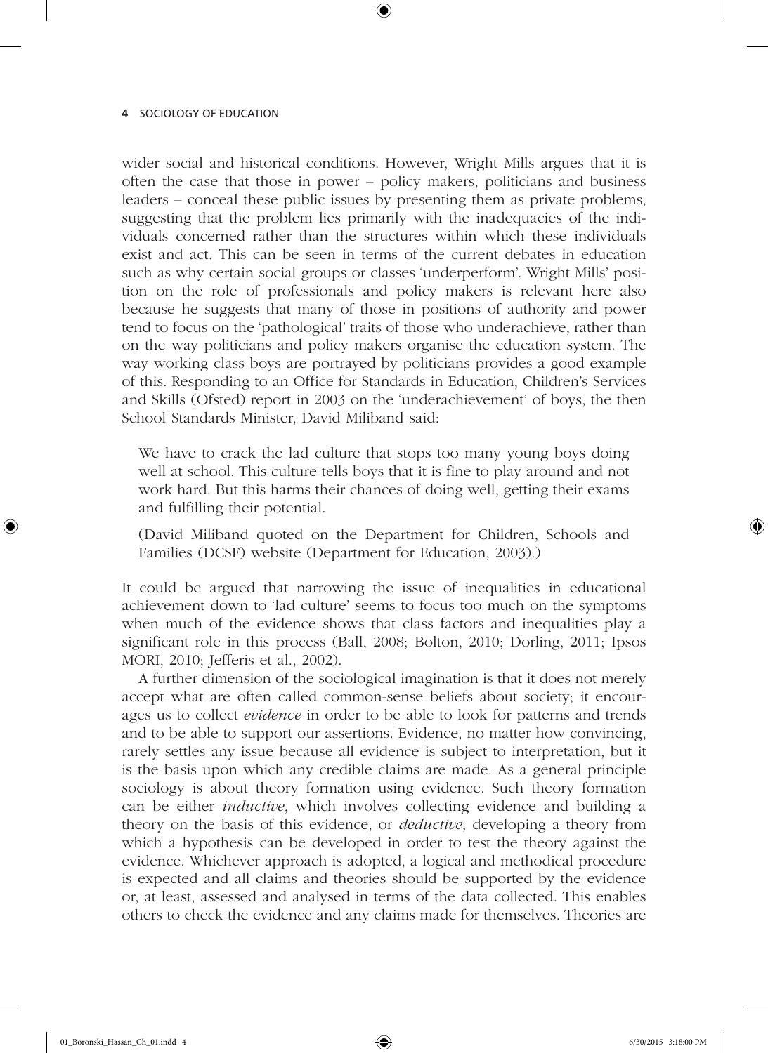wider social and historical conditions. However, Wright Mills argues that it is often the case that those in power – policy makers, politicians and business leaders – conceal these public issues by presenting them as private problems, suggesting that the problem lies primarily with the inadequacies of the individuals concerned rather than the structures within which these individuals exist and act. This can be seen in terms of the current debates in education such as why certain social groups or classes 'underperform'. Wright Mills' position on the role of professionals and policy makers is relevant here also because he suggests that many of those in positions of authority and power tend to focus on the 'pathological' traits of those who underachieve, rather than on the way politicians and policy makers organise the education system. The way working class boys are portrayed by politicians provides a good example of this. Responding to an Office for Standards in Education, Children's Services and Skills (Ofsted) report in 2003 on the 'underachievement' of boys, the then School Standards Minister, David Miliband said:

 $\textcircled{\scriptsize{*}}$ 

We have to crack the lad culture that stops too many young boys doing well at school. This culture tells boys that it is fine to play around and not work hard. But this harms their chances of doing well, getting their exams and fulfilling their potential.

(David Miliband quoted on the Department for Children, Schools and Families (DCSF) website (Department for Education, 2003).)

It could be argued that narrowing the issue of inequalities in educational achievement down to 'lad culture' seems to focus too much on the symptoms when much of the evidence shows that class factors and inequalities play a significant role in this process (Ball, 2008; Bolton, 2010; Dorling, 2011; Ipsos MORI, 2010; Jefferis et al., 2002).

A further dimension of the sociological imagination is that it does not merely accept what are often called common-sense beliefs about society; it encourages us to collect *evidence* in order to be able to look for patterns and trends and to be able to support our assertions. Evidence, no matter how convincing, rarely settles any issue because all evidence is subject to interpretation, but it is the basis upon which any credible claims are made. As a general principle sociology is about theory formation using evidence. Such theory formation can be either *inductive*, which involves collecting evidence and building a theory on the basis of this evidence, or *deductive*, developing a theory from which a hypothesis can be developed in order to test the theory against the evidence. Whichever approach is adopted, a logical and methodical procedure is expected and all claims and theories should be supported by the evidence or, at least, assessed and analysed in terms of the data collected. This enables others to check the evidence and any claims made for themselves. Theories are

♠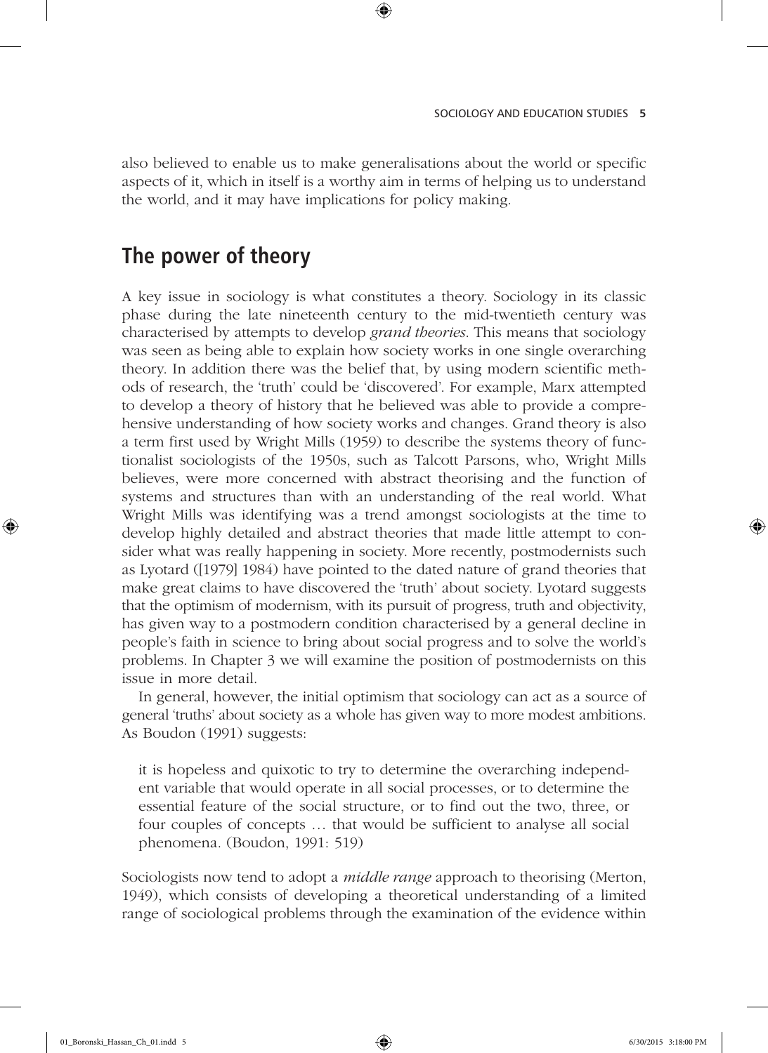also believed to enable us to make generalisations about the world or specific aspects of it, which in itself is a worthy aim in terms of helping us to understand the world, and it may have implications for policy making.

 $\textcircled{\scriptsize{*}}$ 

### **The power of theory**

A key issue in sociology is what constitutes a theory. Sociology in its classic phase during the late nineteenth century to the mid-twentieth century was characterised by attempts to develop *grand theories*. This means that sociology was seen as being able to explain how society works in one single overarching theory. In addition there was the belief that, by using modern scientific methods of research, the 'truth' could be 'discovered'. For example, Marx attempted to develop a theory of history that he believed was able to provide a comprehensive understanding of how society works and changes. Grand theory is also a term first used by Wright Mills (1959) to describe the systems theory of functionalist sociologists of the 1950s, such as Talcott Parsons, who, Wright Mills believes, were more concerned with abstract theorising and the function of systems and structures than with an understanding of the real world. What Wright Mills was identifying was a trend amongst sociologists at the time to develop highly detailed and abstract theories that made little attempt to consider what was really happening in society. More recently, postmodernists such as Lyotard ([1979] 1984) have pointed to the dated nature of grand theories that make great claims to have discovered the 'truth' about society. Lyotard suggests that the optimism of modernism, with its pursuit of progress, truth and objectivity, has given way to a postmodern condition characterised by a general decline in people's faith in science to bring about social progress and to solve the world's problems. In Chapter 3 we will examine the position of postmodernists on this issue in more detail.

In general, however, the initial optimism that sociology can act as a source of general 'truths' about society as a whole has given way to more modest ambitions. As Boudon (1991) suggests:

it is hopeless and quixotic to try to determine the overarching independent variable that would operate in all social processes, or to determine the essential feature of the social structure, or to find out the two, three, or four couples of concepts … that would be sufficient to analyse all social phenomena. (Boudon, 1991: 519)

Sociologists now tend to adopt a *middle range* approach to theorising (Merton, 1949), which consists of developing a theoretical understanding of a limited range of sociological problems through the examination of the evidence within

♠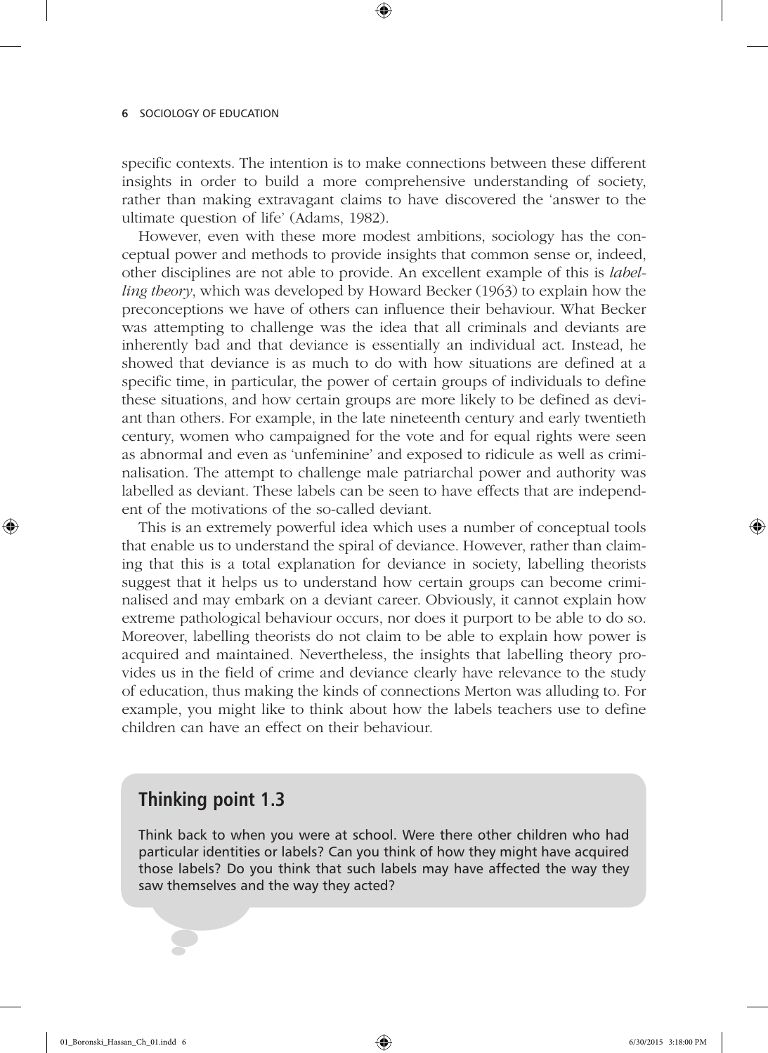specific contexts. The intention is to make connections between these different insights in order to build a more comprehensive understanding of society, rather than making extravagant claims to have discovered the 'answer to the ultimate question of life' (Adams, 1982).

 $\textcircled{\scriptsize{*}}$ 

However, even with these more modest ambitions, sociology has the conceptual power and methods to provide insights that common sense or, indeed, other disciplines are not able to provide. An excellent example of this is *labelling theory*, which was developed by Howard Becker (1963) to explain how the preconceptions we have of others can influence their behaviour. What Becker was attempting to challenge was the idea that all criminals and deviants are inherently bad and that deviance is essentially an individual act. Instead, he showed that deviance is as much to do with how situations are defined at a specific time, in particular, the power of certain groups of individuals to define these situations, and how certain groups are more likely to be defined as deviant than others. For example, in the late nineteenth century and early twentieth century, women who campaigned for the vote and for equal rights were seen as abnormal and even as 'unfeminine' and exposed to ridicule as well as criminalisation. The attempt to challenge male patriarchal power and authority was labelled as deviant. These labels can be seen to have effects that are independent of the motivations of the so-called deviant.

This is an extremely powerful idea which uses a number of conceptual tools that enable us to understand the spiral of deviance. However, rather than claiming that this is a total explanation for deviance in society, labelling theorists suggest that it helps us to understand how certain groups can become criminalised and may embark on a deviant career. Obviously, it cannot explain how extreme pathological behaviour occurs, nor does it purport to be able to do so. Moreover, labelling theorists do not claim to be able to explain how power is acquired and maintained. Nevertheless, the insights that labelling theory provides us in the field of crime and deviance clearly have relevance to the study of education, thus making the kinds of connections Merton was alluding to. For example, you might like to think about how the labels teachers use to define children can have an effect on their behaviour.

#### **Thinking point 1.3**

Think back to when you were at school. Were there other children who had particular identities or labels? Can you think of how they might have acquired those labels? Do you think that such labels may have affected the way they saw themselves and the way they acted?

⊕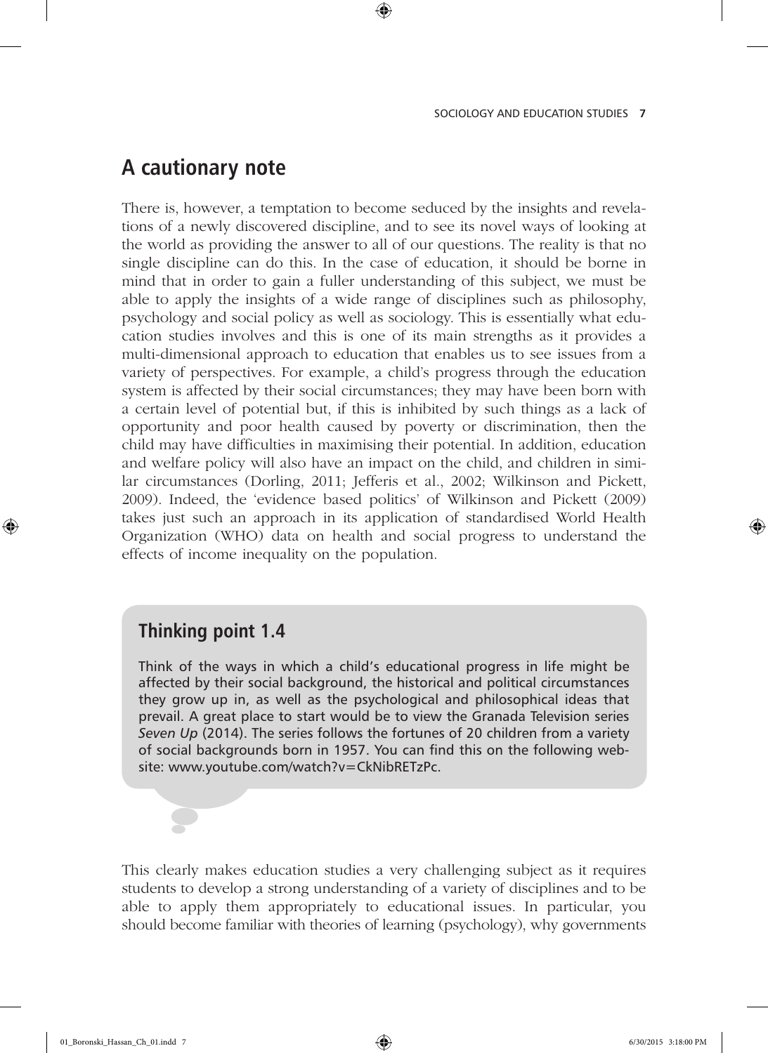## **A cautionary note**

There is, however, a temptation to become seduced by the insights and revelations of a newly discovered discipline, and to see its novel ways of looking at the world as providing the answer to all of our questions. The reality is that no single discipline can do this. In the case of education, it should be borne in mind that in order to gain a fuller understanding of this subject, we must be able to apply the insights of a wide range of disciplines such as philosophy, psychology and social policy as well as sociology. This is essentially what education studies involves and this is one of its main strengths as it provides a multi-dimensional approach to education that enables us to see issues from a variety of perspectives. For example, a child's progress through the education system is affected by their social circumstances; they may have been born with a certain level of potential but, if this is inhibited by such things as a lack of opportunity and poor health caused by poverty or discrimination, then the child may have difficulties in maximising their potential. In addition, education and welfare policy will also have an impact on the child, and children in similar circumstances (Dorling, 2011; Jefferis et al., 2002; Wilkinson and Pickett, 2009). Indeed, the 'evidence based politics' of Wilkinson and Pickett (2009) takes just such an approach in its application of standardised World Health Organization (WHO) data on health and social progress to understand the effects of income inequality on the population.

 $\textcircled{\scriptsize{*}}$ 

#### **Thinking point 1.4**

Think of the ways in which a child's educational progress in life might be affected by their social background, the historical and political circumstances they grow up in, as well as the psychological and philosophical ideas that prevail. A great place to start would be to view the Granada Television series *Seven Up* (2014). The series follows the fortunes of 20 children from a variety of social backgrounds born in 1957. You can find this on the following website: www.youtube.com/watch?v=CkNibRETzPc.

This clearly makes education studies a very challenging subject as it requires students to develop a strong understanding of a variety of disciplines and to be able to apply them appropriately to educational issues. In particular, you should become familiar with theories of learning (psychology), why governments

01\_Boronski\_Hassan\_Ch\_01.indd 7 6/30/2015 3:18:00 PM

⊕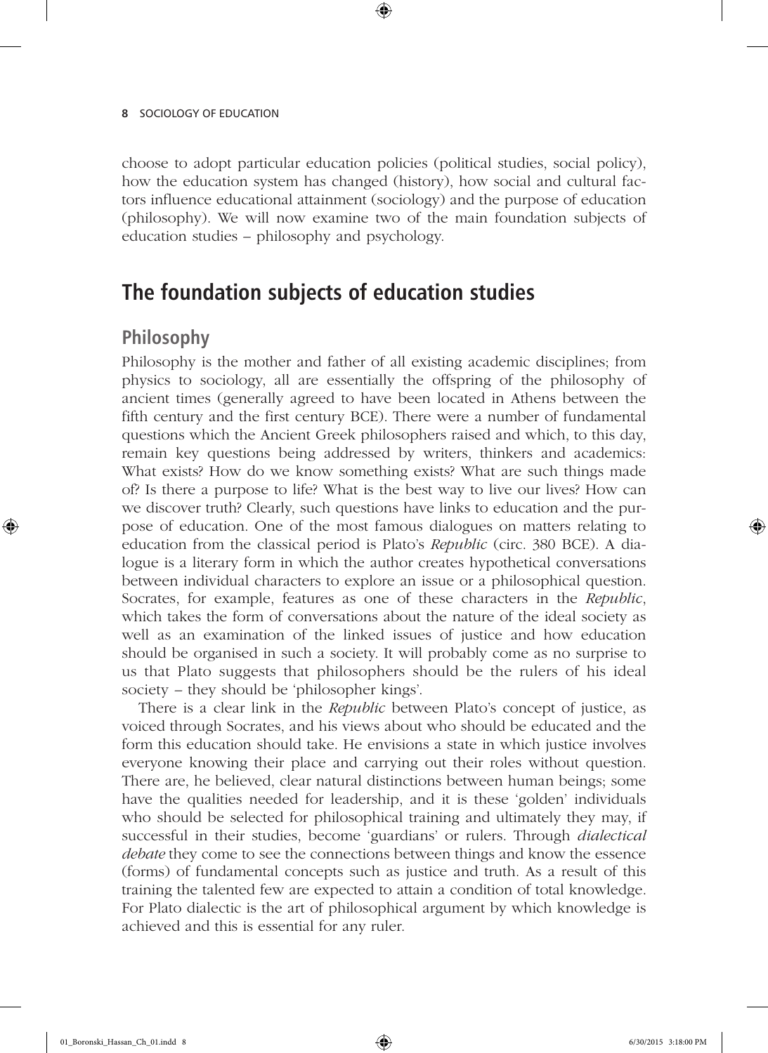choose to adopt particular education policies (political studies, social policy), how the education system has changed (history), how social and cultural factors influence educational attainment (sociology) and the purpose of education (philosophy). We will now examine two of the main foundation subjects of education studies – philosophy and psychology.

 $\textcircled{\scriptsize{*}}$ 

## **The foundation subjects of education studies**

#### **Philosophy**

⊕

Philosophy is the mother and father of all existing academic disciplines; from physics to sociology, all are essentially the offspring of the philosophy of ancient times (generally agreed to have been located in Athens between the fifth century and the first century BCE). There were a number of fundamental questions which the Ancient Greek philosophers raised and which, to this day, remain key questions being addressed by writers, thinkers and academics: What exists? How do we know something exists? What are such things made of? Is there a purpose to life? What is the best way to live our lives? How can we discover truth? Clearly, such questions have links to education and the purpose of education. One of the most famous dialogues on matters relating to education from the classical period is Plato's *Republic* (circ. 380 BCE). A dialogue is a literary form in which the author creates hypothetical conversations between individual characters to explore an issue or a philosophical question. Socrates, for example, features as one of these characters in the *Republic*, which takes the form of conversations about the nature of the ideal society as well as an examination of the linked issues of justice and how education should be organised in such a society. It will probably come as no surprise to us that Plato suggests that philosophers should be the rulers of his ideal society – they should be 'philosopher kings'.

There is a clear link in the *Republic* between Plato's concept of justice, as voiced through Socrates, and his views about who should be educated and the form this education should take. He envisions a state in which justice involves everyone knowing their place and carrying out their roles without question. There are, he believed, clear natural distinctions between human beings; some have the qualities needed for leadership, and it is these 'golden' individuals who should be selected for philosophical training and ultimately they may, if successful in their studies, become 'guardians' or rulers. Through *dialectical debate* they come to see the connections between things and know the essence (forms) of fundamental concepts such as justice and truth. As a result of this training the talented few are expected to attain a condition of total knowledge. For Plato dialectic is the art of philosophical argument by which knowledge is achieved and this is essential for any ruler.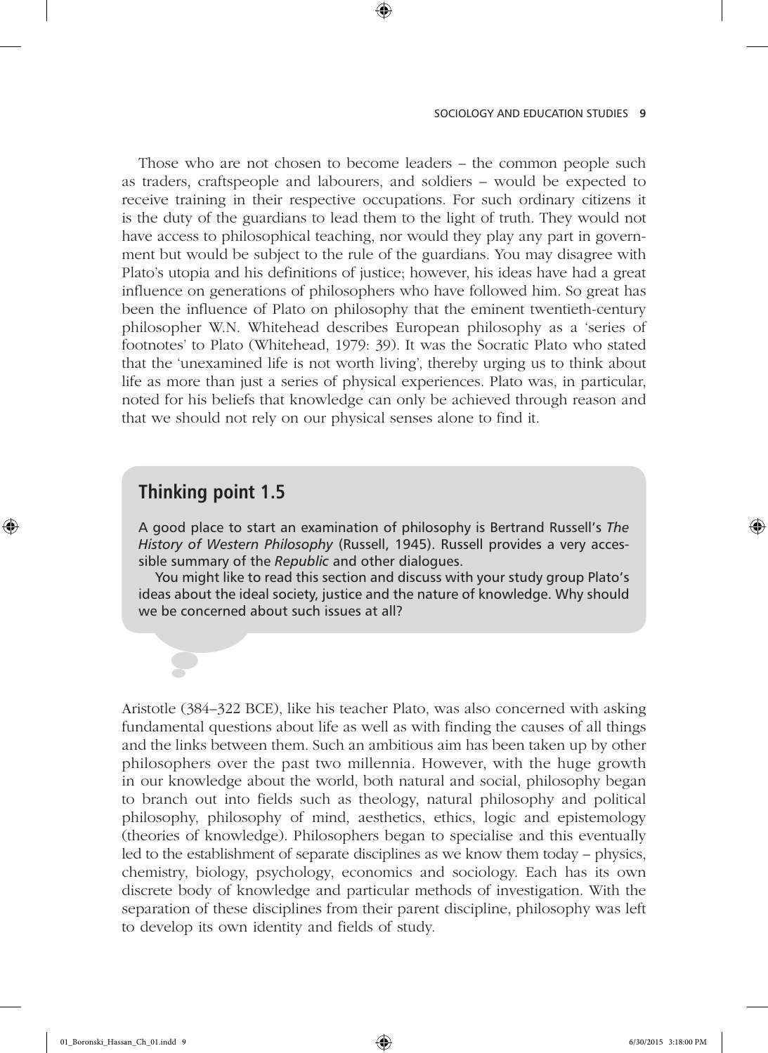#### SOCIOLOGY AND EDUCATION STUDIES **9**

Those who are not chosen to become leaders – the common people such as traders, craftspeople and labourers, and soldiers – would be expected to receive training in their respective occupations. For such ordinary citizens it is the duty of the guardians to lead them to the light of truth. They would not have access to philosophical teaching, nor would they play any part in government but would be subject to the rule of the guardians. You may disagree with Plato's utopia and his definitions of justice; however, his ideas have had a great influence on generations of philosophers who have followed him. So great has been the influence of Plato on philosophy that the eminent twentieth-century philosopher W.N. Whitehead describes European philosophy as a 'series of footnotes' to Plato (Whitehead, 1979: 39). It was the Socratic Plato who stated that the 'unexamined life is not worth living', thereby urging us to think about life as more than just a series of physical experiences. Plato was, in particular, noted for his beliefs that knowledge can only be achieved through reason and that we should not rely on our physical senses alone to find it.

 $\textcircled{\scriptsize{*}}$ 

#### **Thinking point 1.5**

♠

A good place to start an examination of philosophy is Bertrand Russell's *The History of Western Philosophy* (Russell, 1945). Russell provides a very accessible summary of the *Republic* and other dialogues.

You might like to read this section and discuss with your study group Plato's ideas about the ideal society, justice and the nature of knowledge. Why should we be concerned about such issues at all?

Aristotle (384–322 BCE), like his teacher Plato, was also concerned with asking fundamental questions about life as well as with finding the causes of all things and the links between them. Such an ambitious aim has been taken up by other philosophers over the past two millennia. However, with the huge growth in our knowledge about the world, both natural and social, philosophy began to branch out into fields such as theology, natural philosophy and political philosophy, philosophy of mind, aesthetics, ethics, logic and epistemology (theories of knowledge). Philosophers began to specialise and this eventually led to the establishment of separate disciplines as we know them today – physics, chemistry, biology, psychology, economics and sociology. Each has its own discrete body of knowledge and particular methods of investigation. With the separation of these disciplines from their parent discipline, philosophy was left to develop its own identity and fields of study.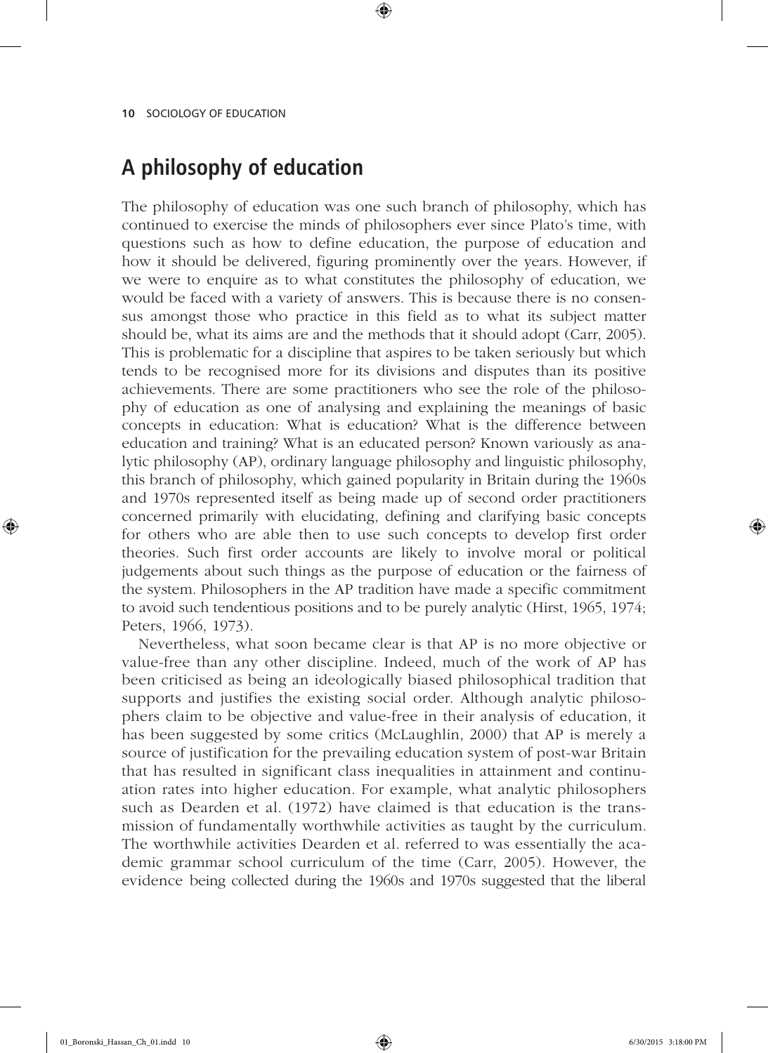## **A philosophy of education**

The philosophy of education was one such branch of philosophy, which has continued to exercise the minds of philosophers ever since Plato's time, with questions such as how to define education, the purpose of education and how it should be delivered, figuring prominently over the years. However, if we were to enquire as to what constitutes the philosophy of education, we would be faced with a variety of answers. This is because there is no consensus amongst those who practice in this field as to what its subject matter should be, what its aims are and the methods that it should adopt (Carr, 2005). This is problematic for a discipline that aspires to be taken seriously but which tends to be recognised more for its divisions and disputes than its positive achievements. There are some practitioners who see the role of the philosophy of education as one of analysing and explaining the meanings of basic concepts in education: What is education? What is the difference between education and training? What is an educated person? Known variously as analytic philosophy (AP), ordinary language philosophy and linguistic philosophy, this branch of philosophy, which gained popularity in Britain during the 1960s and 1970s represented itself as being made up of second order practitioners concerned primarily with elucidating, defining and clarifying basic concepts for others who are able then to use such concepts to develop first order theories. Such first order accounts are likely to involve moral or political judgements about such things as the purpose of education or the fairness of the system. Philosophers in the AP tradition have made a specific commitment to avoid such tendentious positions and to be purely analytic (Hirst, 1965, 1974; Peters, 1966, 1973).

⊕

Nevertheless, what soon became clear is that AP is no more objective or value-free than any other discipline. Indeed, much of the work of AP has been criticised as being an ideologically biased philosophical tradition that supports and justifies the existing social order. Although analytic philosophers claim to be objective and value-free in their analysis of education, it has been suggested by some critics (McLaughlin, 2000) that AP is merely a source of justification for the prevailing education system of post-war Britain that has resulted in significant class inequalities in attainment and continuation rates into higher education. For example, what analytic philosophers such as Dearden et al. (1972) have claimed is that education is the transmission of fundamentally worthwhile activities as taught by the curriculum. The worthwhile activities Dearden et al. referred to was essentially the academic grammar school curriculum of the time (Carr, 2005). However, the evidence being collected during the 1960s and 1970s suggested that the liberal

♠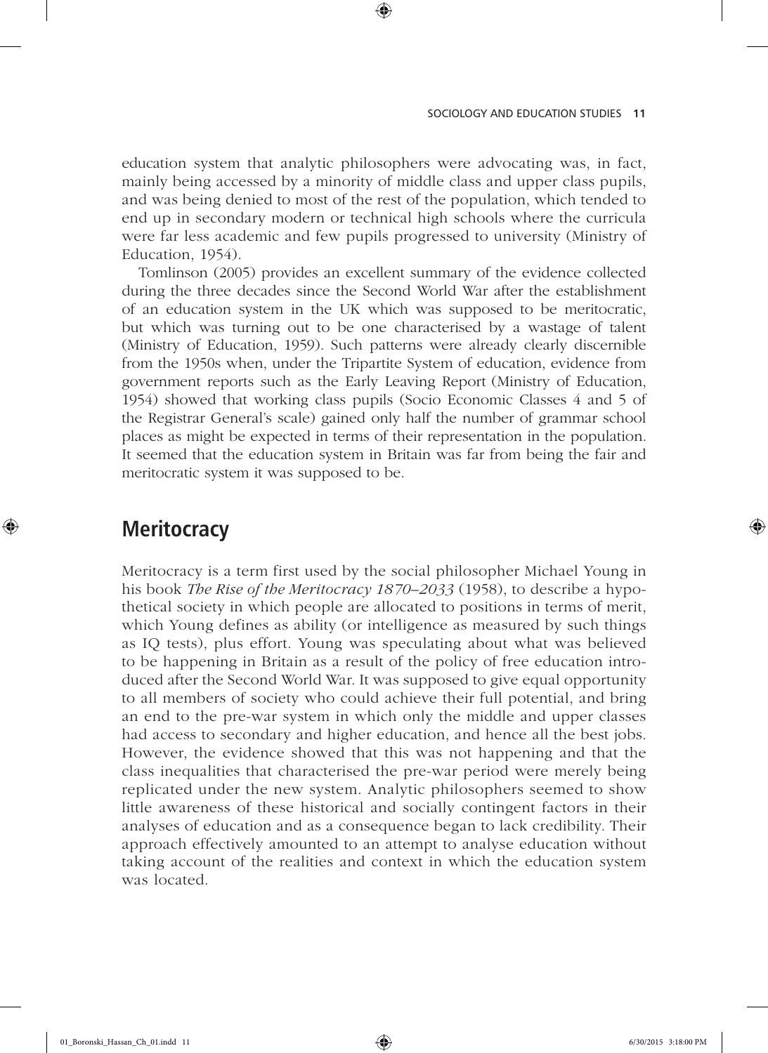education system that analytic philosophers were advocating was, in fact, mainly being accessed by a minority of middle class and upper class pupils, and was being denied to most of the rest of the population, which tended to end up in secondary modern or technical high schools where the curricula were far less academic and few pupils progressed to university (Ministry of Education, 1954).

 $\textcircled{\scriptsize{*}}$ 

Tomlinson (2005) provides an excellent summary of the evidence collected during the three decades since the Second World War after the establishment of an education system in the UK which was supposed to be meritocratic, but which was turning out to be one characterised by a wastage of talent (Ministry of Education, 1959). Such patterns were already clearly discernible from the 1950s when, under the Tripartite System of education, evidence from government reports such as the Early Leaving Report (Ministry of Education, 1954) showed that working class pupils (Socio Economic Classes 4 and 5 of the Registrar General's scale) gained only half the number of grammar school places as might be expected in terms of their representation in the population. It seemed that the education system in Britain was far from being the fair and meritocratic system it was supposed to be.

#### **Meritocracy**

♠

Meritocracy is a term first used by the social philosopher Michael Young in his book *The Rise of the Meritocracy 1870–2033* (1958), to describe a hypothetical society in which people are allocated to positions in terms of merit, which Young defines as ability (or intelligence as measured by such things as IQ tests), plus effort. Young was speculating about what was believed to be happening in Britain as a result of the policy of free education introduced after the Second World War. It was supposed to give equal opportunity to all members of society who could achieve their full potential, and bring an end to the pre-war system in which only the middle and upper classes had access to secondary and higher education, and hence all the best jobs. However, the evidence showed that this was not happening and that the class inequalities that characterised the pre-war period were merely being replicated under the new system. Analytic philosophers seemed to show little awareness of these historical and socially contingent factors in their analyses of education and as a consequence began to lack credibility. Their approach effectively amounted to an attempt to analyse education without taking account of the realities and context in which the education system was located.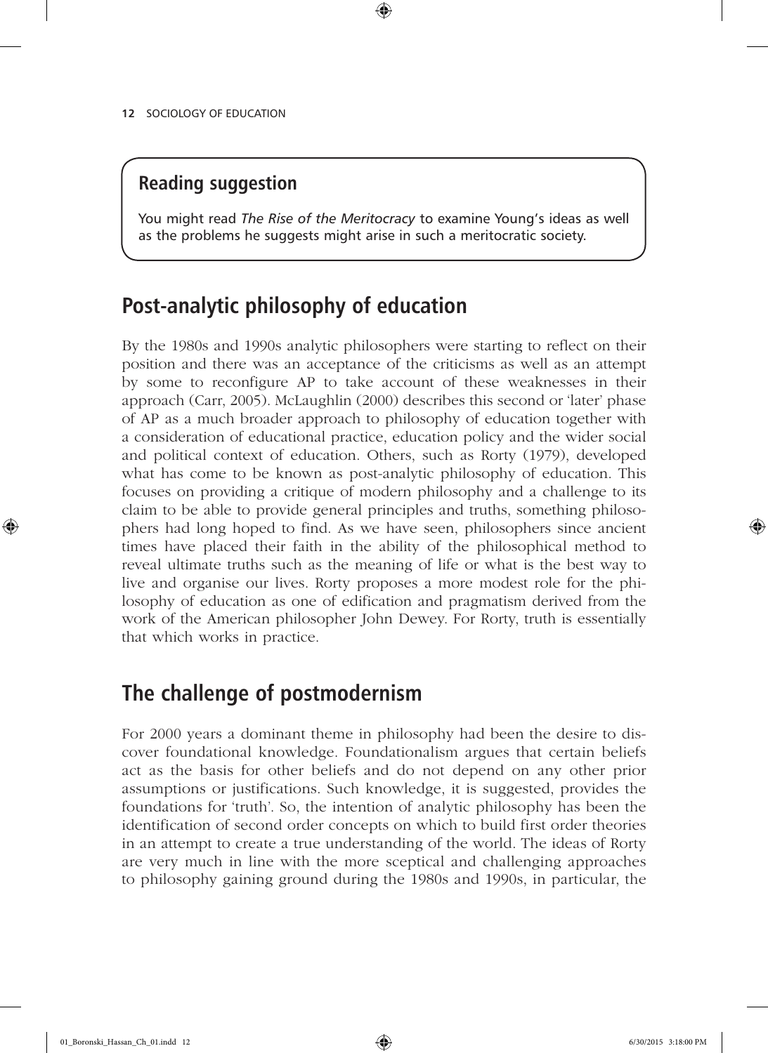#### **Reading suggestion**

You might read *The Rise of the Meritocracy* to examine Young's ideas as well as the problems he suggests might arise in such a meritocratic society.

 $\textcircled{\scriptsize{*}}$ 

## **Post-analytic philosophy of education**

By the 1980s and 1990s analytic philosophers were starting to reflect on their position and there was an acceptance of the criticisms as well as an attempt by some to reconfigure AP to take account of these weaknesses in their approach (Carr, 2005). McLaughlin (2000) describes this second or 'later' phase of AP as a much broader approach to philosophy of education together with a consideration of educational practice, education policy and the wider social and political context of education. Others, such as Rorty (1979), developed what has come to be known as post-analytic philosophy of education. This focuses on providing a critique of modern philosophy and a challenge to its claim to be able to provide general principles and truths, something philosophers had long hoped to find. As we have seen, philosophers since ancient times have placed their faith in the ability of the philosophical method to reveal ultimate truths such as the meaning of life or what is the best way to live and organise our lives. Rorty proposes a more modest role for the philosophy of education as one of edification and pragmatism derived from the work of the American philosopher John Dewey. For Rorty, truth is essentially that which works in practice.

## **The challenge of postmodernism**

For 2000 years a dominant theme in philosophy had been the desire to discover foundational knowledge. Foundationalism argues that certain beliefs act as the basis for other beliefs and do not depend on any other prior assumptions or justifications. Such knowledge, it is suggested, provides the foundations for 'truth'. So, the intention of analytic philosophy has been the identification of second order concepts on which to build first order theories in an attempt to create a true understanding of the world. The ideas of Rorty are very much in line with the more sceptical and challenging approaches to philosophy gaining ground during the 1980s and 1990s, in particular, the

♠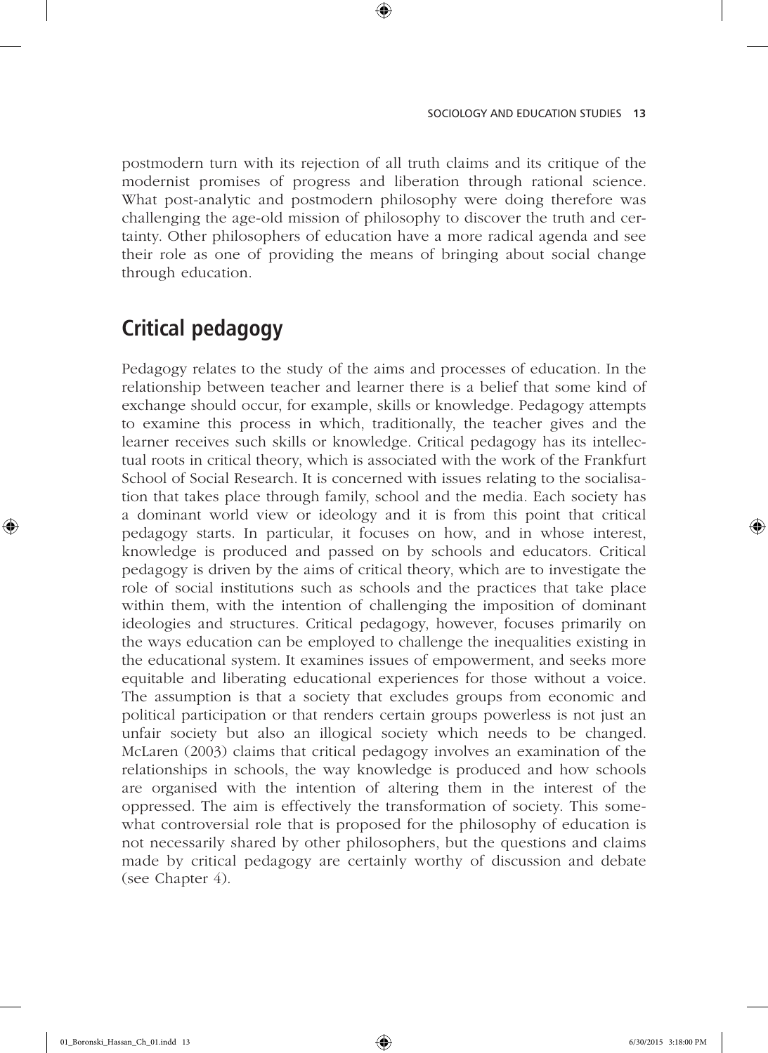postmodern turn with its rejection of all truth claims and its critique of the modernist promises of progress and liberation through rational science. What post-analytic and postmodern philosophy were doing therefore was challenging the age-old mission of philosophy to discover the truth and certainty. Other philosophers of education have a more radical agenda and see their role as one of providing the means of bringing about social change through education.

 $\textcircled{\scriptsize{*}}$ 

## **Critical pedagogy**

Pedagogy relates to the study of the aims and processes of education. In the relationship between teacher and learner there is a belief that some kind of exchange should occur, for example, skills or knowledge. Pedagogy attempts to examine this process in which, traditionally, the teacher gives and the learner receives such skills or knowledge. Critical pedagogy has its intellectual roots in critical theory, which is associated with the work of the Frankfurt School of Social Research. It is concerned with issues relating to the socialisation that takes place through family, school and the media. Each society has a dominant world view or ideology and it is from this point that critical pedagogy starts. In particular, it focuses on how, and in whose interest, knowledge is produced and passed on by schools and educators. Critical pedagogy is driven by the aims of critical theory, which are to investigate the role of social institutions such as schools and the practices that take place within them, with the intention of challenging the imposition of dominant ideologies and structures. Critical pedagogy, however, focuses primarily on the ways education can be employed to challenge the inequalities existing in the educational system. It examines issues of empowerment, and seeks more equitable and liberating educational experiences for those without a voice. The assumption is that a society that excludes groups from economic and political participation or that renders certain groups powerless is not just an unfair society but also an illogical society which needs to be changed. McLaren (2003) claims that critical pedagogy involves an examination of the relationships in schools, the way knowledge is produced and how schools are organised with the intention of altering them in the interest of the oppressed. The aim is effectively the transformation of society. This somewhat controversial role that is proposed for the philosophy of education is not necessarily shared by other philosophers, but the questions and claims made by critical pedagogy are certainly worthy of discussion and debate (see Chapter 4).

♠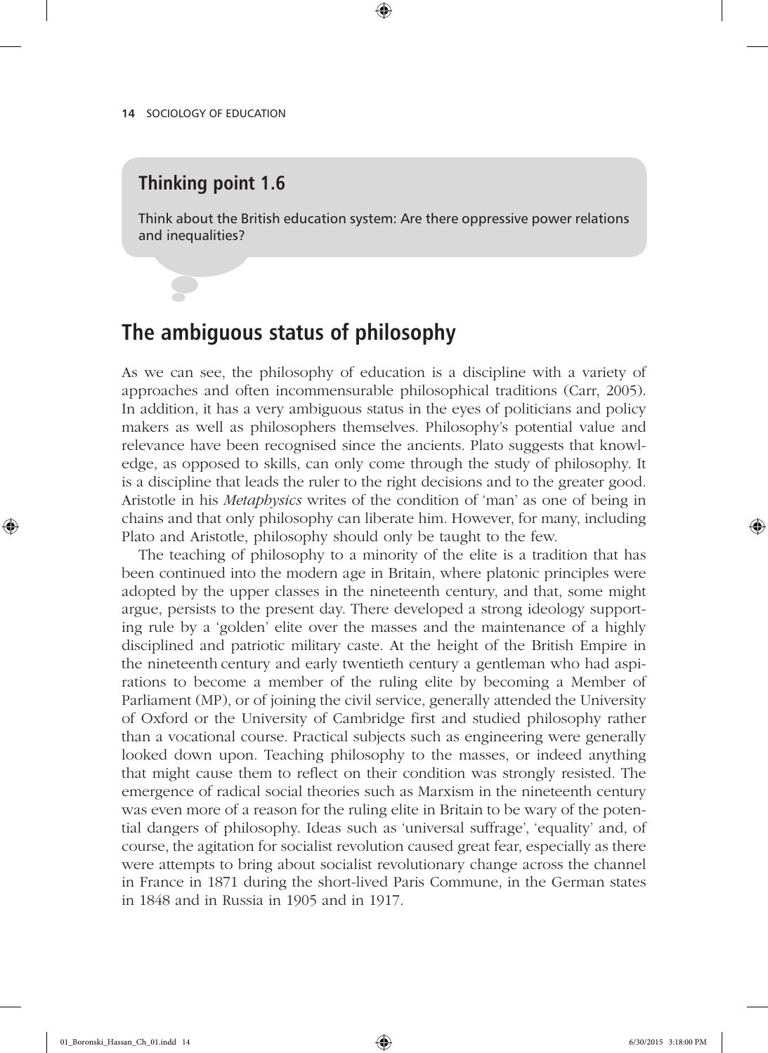#### **Thinking point 1.6**

Think about the British education system: Are there oppressive power relations and inequalities?

 $\textcircled{\scriptsize{*}}$ 

#### **The ambiguous status of philosophy**

As we can see, the philosophy of education is a discipline with a variety of approaches and often incommensurable philosophical traditions (Carr, 2005). In addition, it has a very ambiguous status in the eyes of politicians and policy makers as well as philosophers themselves. Philosophy's potential value and relevance have been recognised since the ancients. Plato suggests that knowledge, as opposed to skills, can only come through the study of philosophy. It is a discipline that leads the ruler to the right decisions and to the greater good. Aristotle in his *Metaphysics* writes of the condition of 'man' as one of being in chains and that only philosophy can liberate him. However, for many, including Plato and Aristotle, philosophy should only be taught to the few.

The teaching of philosophy to a minority of the elite is a tradition that has been continued into the modern age in Britain, where platonic principles were adopted by the upper classes in the nineteenth century, and that, some might argue, persists to the present day. There developed a strong ideology supporting rule by a 'golden' elite over the masses and the maintenance of a highly disciplined and patriotic military caste. At the height of the British Empire in the nineteenth century and early twentieth century a gentleman who had aspirations to become a member of the ruling elite by becoming a Member of Parliament (MP), or of joining the civil service, generally attended the University of Oxford or the University of Cambridge first and studied philosophy rather than a vocational course. Practical subjects such as engineering were generally looked down upon. Teaching philosophy to the masses, or indeed anything that might cause them to reflect on their condition was strongly resisted. The emergence of radical social theories such as Marxism in the nineteenth century was even more of a reason for the ruling elite in Britain to be wary of the potential dangers of philosophy. Ideas such as 'universal suffrage', 'equality' and, of course, the agitation for socialist revolution caused great fear, especially as there were attempts to bring about socialist revolutionary change across the channel in France in 1871 during the short-lived Paris Commune, in the German states in 1848 and in Russia in 1905 and in 1917.

♠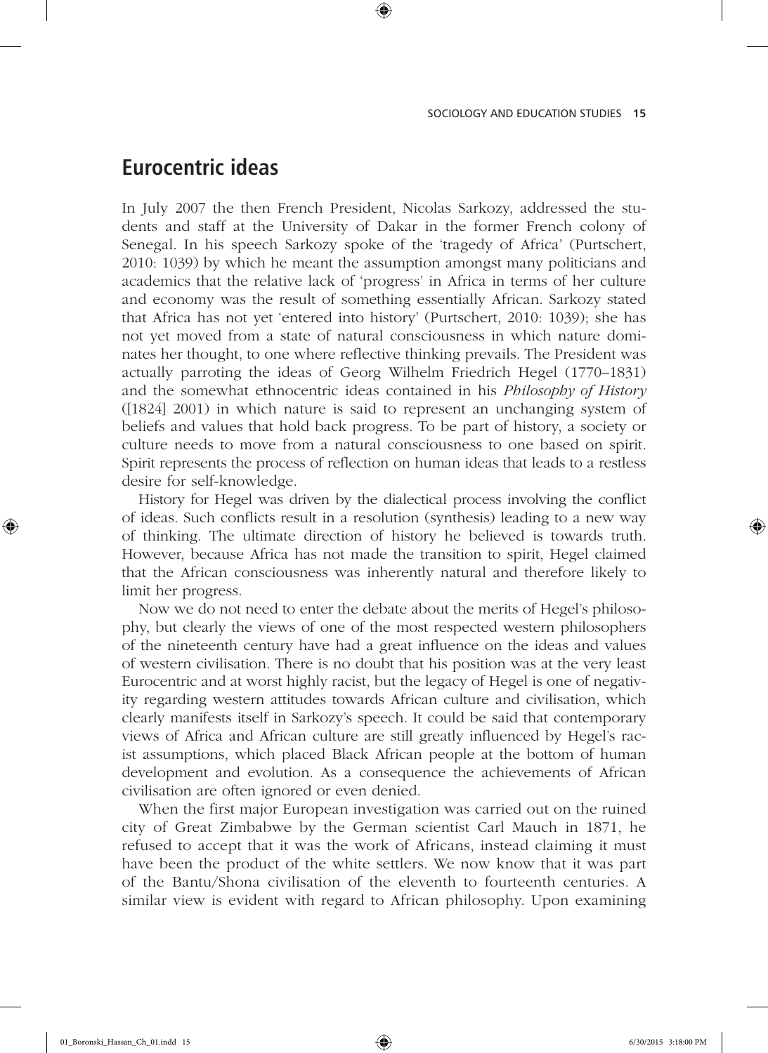## **Eurocentric ideas**

In July 2007 the then French President, Nicolas Sarkozy, addressed the students and staff at the University of Dakar in the former French colony of Senegal. In his speech Sarkozy spoke of the 'tragedy of Africa' (Purtschert, 2010: 1039) by which he meant the assumption amongst many politicians and academics that the relative lack of 'progress' in Africa in terms of her culture and economy was the result of something essentially African. Sarkozy stated that Africa has not yet 'entered into history' (Purtschert, 2010: 1039); she has not yet moved from a state of natural consciousness in which nature dominates her thought, to one where reflective thinking prevails. The President was actually parroting the ideas of Georg Wilhelm Friedrich Hegel (1770–1831) and the somewhat ethnocentric ideas contained in his *Philosophy of History* ([1824] 2001) in which nature is said to represent an unchanging system of beliefs and values that hold back progress. To be part of history, a society or culture needs to move from a natural consciousness to one based on spirit. Spirit represents the process of reflection on human ideas that leads to a restless desire for self-knowledge.

⊕

History for Hegel was driven by the dialectical process involving the conflict of ideas. Such conflicts result in a resolution (synthesis) leading to a new way of thinking. The ultimate direction of history he believed is towards truth. However, because Africa has not made the transition to spirit, Hegel claimed that the African consciousness was inherently natural and therefore likely to limit her progress.

Now we do not need to enter the debate about the merits of Hegel's philosophy, but clearly the views of one of the most respected western philosophers of the nineteenth century have had a great influence on the ideas and values of western civilisation. There is no doubt that his position was at the very least Eurocentric and at worst highly racist, but the legacy of Hegel is one of negativity regarding western attitudes towards African culture and civilisation, which clearly manifests itself in Sarkozy's speech. It could be said that contemporary views of Africa and African culture are still greatly influenced by Hegel's racist assumptions, which placed Black African people at the bottom of human development and evolution. As a consequence the achievements of African civilisation are often ignored or even denied.

When the first major European investigation was carried out on the ruined city of Great Zimbabwe by the German scientist Carl Mauch in 1871, he refused to accept that it was the work of Africans, instead claiming it must have been the product of the white settlers. We now know that it was part of the Bantu/Shona civilisation of the eleventh to fourteenth centuries. A similar view is evident with regard to African philosophy. Upon examining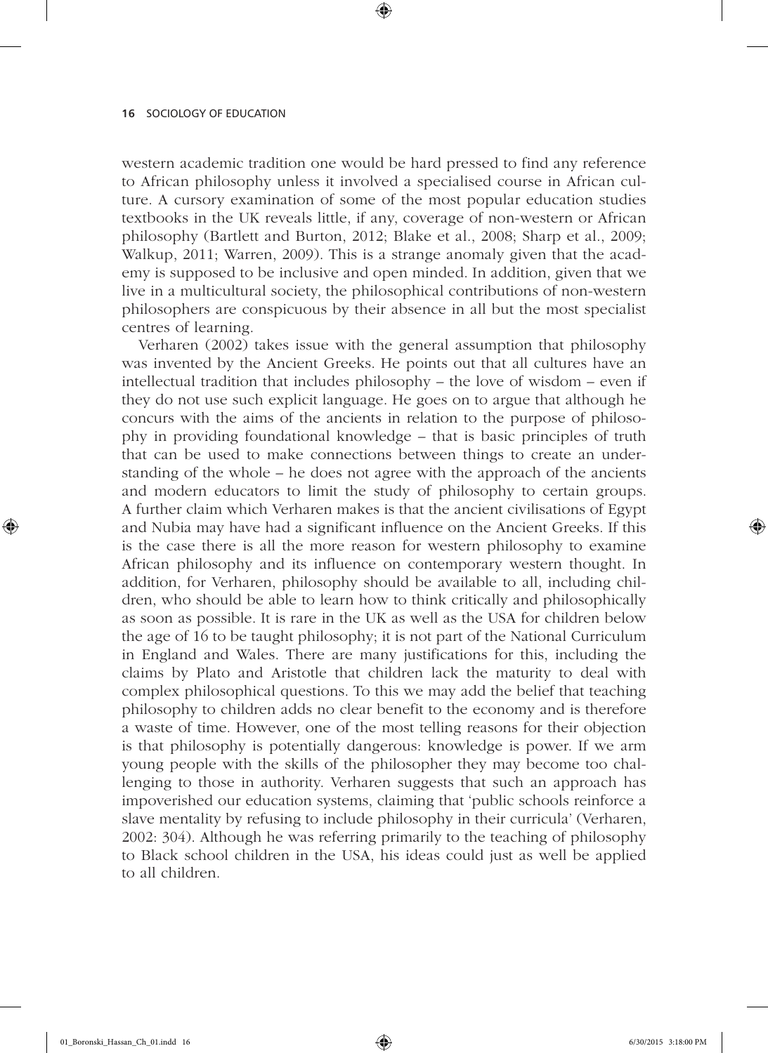western academic tradition one would be hard pressed to find any reference to African philosophy unless it involved a specialised course in African culture. A cursory examination of some of the most popular education studies textbooks in the UK reveals little, if any, coverage of non-western or African philosophy (Bartlett and Burton, 2012; Blake et al., 2008; Sharp et al., 2009; Walkup, 2011; Warren, 2009). This is a strange anomaly given that the academy is supposed to be inclusive and open minded. In addition, given that we live in a multicultural society, the philosophical contributions of non-western philosophers are conspicuous by their absence in all but the most specialist centres of learning.

 $\textcircled{\scriptsize{*}}$ 

Verharen (2002) takes issue with the general assumption that philosophy was invented by the Ancient Greeks. He points out that all cultures have an intellectual tradition that includes philosophy – the love of wisdom – even if they do not use such explicit language. He goes on to argue that although he concurs with the aims of the ancients in relation to the purpose of philosophy in providing foundational knowledge – that is basic principles of truth that can be used to make connections between things to create an understanding of the whole – he does not agree with the approach of the ancients and modern educators to limit the study of philosophy to certain groups. A further claim which Verharen makes is that the ancient civilisations of Egypt and Nubia may have had a significant influence on the Ancient Greeks. If this is the case there is all the more reason for western philosophy to examine African philosophy and its influence on contemporary western thought. In addition, for Verharen, philosophy should be available to all, including children, who should be able to learn how to think critically and philosophically as soon as possible. It is rare in the UK as well as the USA for children below the age of 16 to be taught philosophy; it is not part of the National Curriculum in England and Wales. There are many justifications for this, including the claims by Plato and Aristotle that children lack the maturity to deal with complex philosophical questions. To this we may add the belief that teaching philosophy to children adds no clear benefit to the economy and is therefore a waste of time. However, one of the most telling reasons for their objection is that philosophy is potentially dangerous: knowledge is power. If we arm young people with the skills of the philosopher they may become too challenging to those in authority. Verharen suggests that such an approach has impoverished our education systems, claiming that 'public schools reinforce a slave mentality by refusing to include philosophy in their curricula' (Verharen, 2002: 304). Although he was referring primarily to the teaching of philosophy to Black school children in the USA, his ideas could just as well be applied to all children.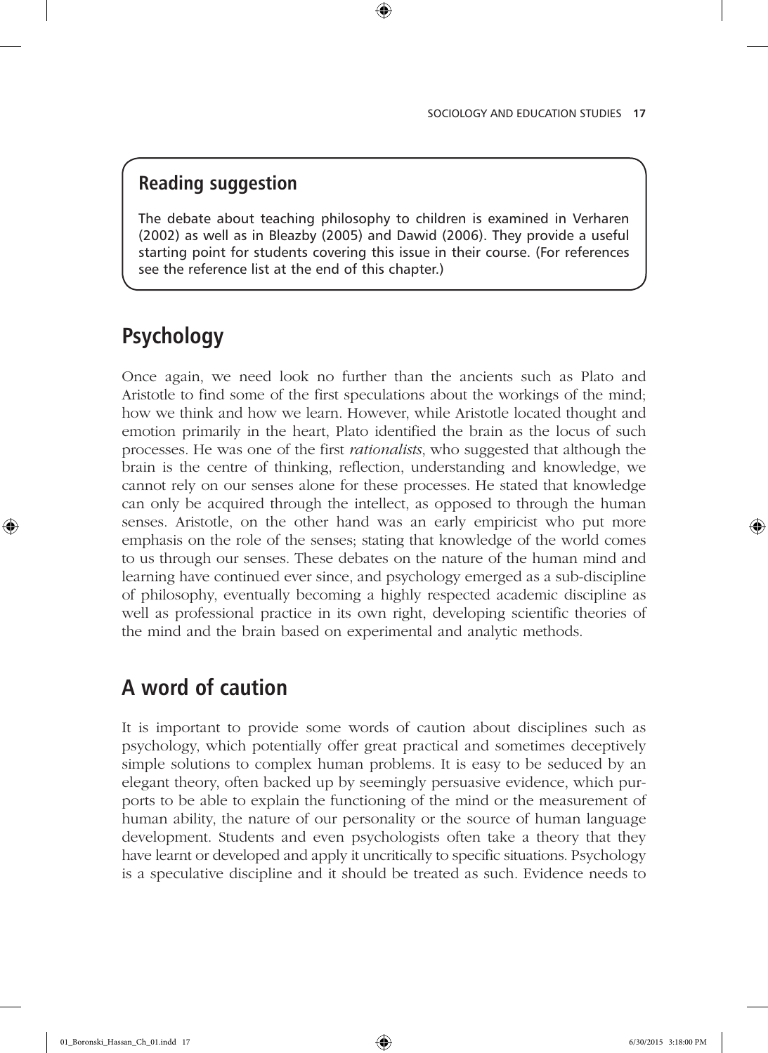#### **Reading suggestion**

The debate about teaching philosophy to children is examined in Verharen (2002) as well as in Bleazby (2005) and Dawid (2006). They provide a useful starting point for students covering this issue in their course. (For references see the reference list at the end of this chapter.)

⊕

## **Psychology**

⊕

Once again, we need look no further than the ancients such as Plato and Aristotle to find some of the first speculations about the workings of the mind; how we think and how we learn. However, while Aristotle located thought and emotion primarily in the heart, Plato identified the brain as the locus of such processes. He was one of the first *rationalists*, who suggested that although the brain is the centre of thinking, reflection, understanding and knowledge, we cannot rely on our senses alone for these processes. He stated that knowledge can only be acquired through the intellect, as opposed to through the human senses. Aristotle, on the other hand was an early empiricist who put more emphasis on the role of the senses; stating that knowledge of the world comes to us through our senses. These debates on the nature of the human mind and learning have continued ever since, and psychology emerged as a sub-discipline of philosophy, eventually becoming a highly respected academic discipline as well as professional practice in its own right, developing scientific theories of the mind and the brain based on experimental and analytic methods.

## **A word of caution**

It is important to provide some words of caution about disciplines such as psychology, which potentially offer great practical and sometimes deceptively simple solutions to complex human problems. It is easy to be seduced by an elegant theory, often backed up by seemingly persuasive evidence, which purports to be able to explain the functioning of the mind or the measurement of human ability, the nature of our personality or the source of human language development. Students and even psychologists often take a theory that they have learnt or developed and apply it uncritically to specific situations. Psychology is a speculative discipline and it should be treated as such. Evidence needs to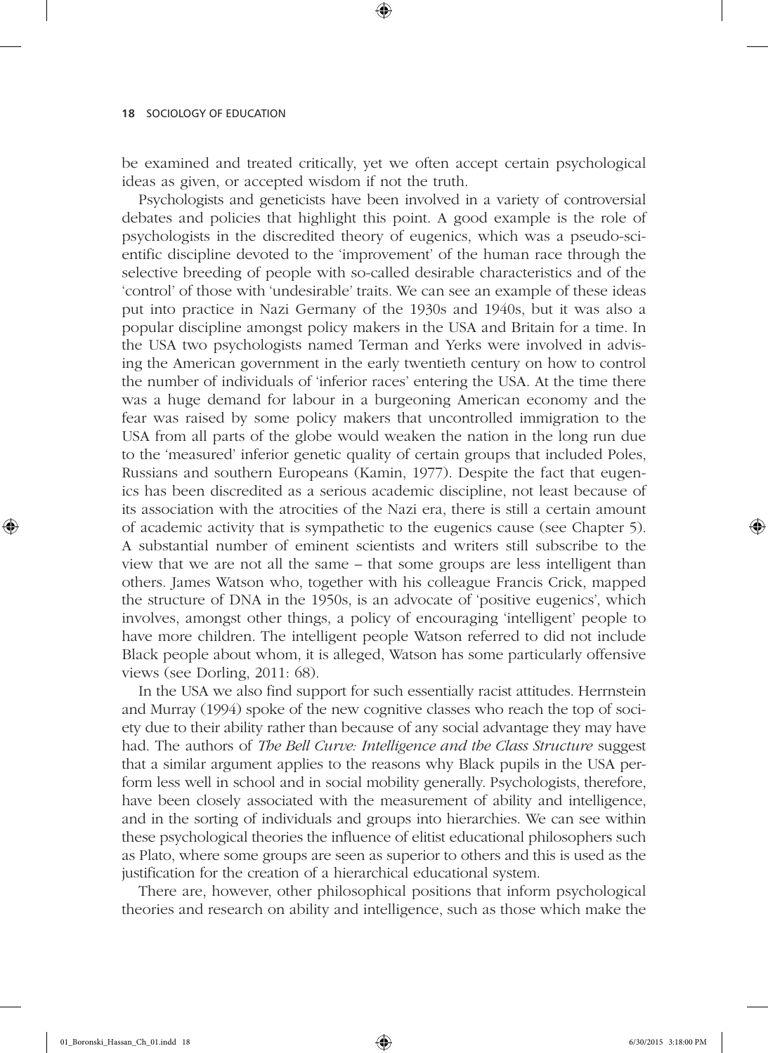be examined and treated critically, yet we often accept certain psychological ideas as given, or accepted wisdom if not the truth.

⊕

Psychologists and geneticists have been involved in a variety of controversial debates and policies that highlight this point. A good example is the role of psychologists in the discredited theory of eugenics, which was a pseudo-scientific discipline devoted to the 'improvement' of the human race through the selective breeding of people with so-called desirable characteristics and of the 'control' of those with 'undesirable' traits. We can see an example of these ideas put into practice in Nazi Germany of the 1930s and 1940s, but it was also a popular discipline amongst policy makers in the USA and Britain for a time. In the USA two psychologists named Terman and Yerks were involved in advising the American government in the early twentieth century on how to control the number of individuals of 'inferior races' entering the USA. At the time there was a huge demand for labour in a burgeoning American economy and the fear was raised by some policy makers that uncontrolled immigration to the USA from all parts of the globe would weaken the nation in the long run due to the 'measured' inferior genetic quality of certain groups that included Poles, Russians and southern Europeans (Kamin, 1977). Despite the fact that eugenics has been discredited as a serious academic discipline, not least because of its association with the atrocities of the Nazi era, there is still a certain amount of academic activity that is sympathetic to the eugenics cause (see Chapter 5). A substantial number of eminent scientists and writers still subscribe to the view that we are not all the same – that some groups are less intelligent than others. James Watson who, together with his colleague Francis Crick, mapped the structure of DNA in the 1950s, is an advocate of 'positive eugenics', which involves, amongst other things, a policy of encouraging 'intelligent' people to have more children. The intelligent people Watson referred to did not include Black people about whom, it is alleged, Watson has some particularly offensive views (see Dorling, 2011: 68).

In the USA we also find support for such essentially racist attitudes. Herrnstein and Murray (1994) spoke of the new cognitive classes who reach the top of society due to their ability rather than because of any social advantage they may have had. The authors of *The Bell Curve: Intelligence and the Class Structure* suggest that a similar argument applies to the reasons why Black pupils in the USA perform less well in school and in social mobility generally. Psychologists, therefore, have been closely associated with the measurement of ability and intelligence, and in the sorting of individuals and groups into hierarchies. We can see within these psychological theories the influence of elitist educational philosophers such as Plato, where some groups are seen as superior to others and this is used as the justification for the creation of a hierarchical educational system.

There are, however, other philosophical positions that inform psychological theories and research on ability and intelligence, such as those which make the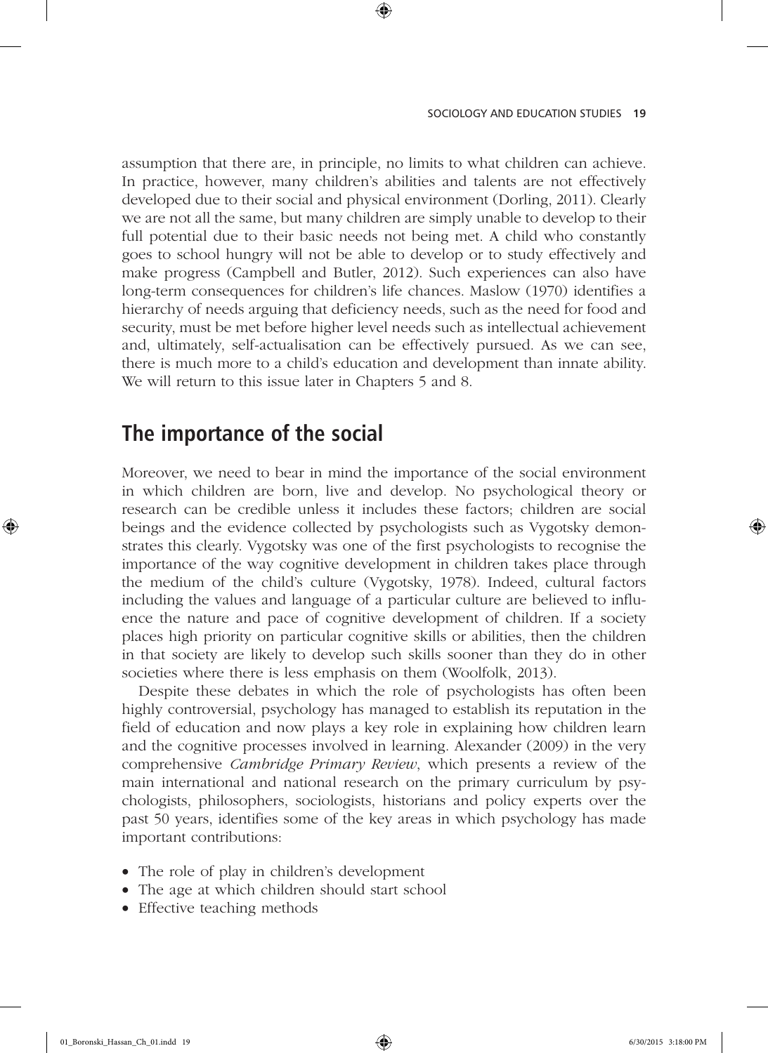assumption that there are, in principle, no limits to what children can achieve. In practice, however, many children's abilities and talents are not effectively developed due to their social and physical environment (Dorling, 2011). Clearly we are not all the same, but many children are simply unable to develop to their full potential due to their basic needs not being met. A child who constantly goes to school hungry will not be able to develop or to study effectively and make progress (Campbell and Butler, 2012). Such experiences can also have long-term consequences for children's life chances. Maslow (1970) identifies a hierarchy of needs arguing that deficiency needs, such as the need for food and security, must be met before higher level needs such as intellectual achievement and, ultimately, self-actualisation can be effectively pursued. As we can see, there is much more to a child's education and development than innate ability. We will return to this issue later in Chapters 5 and 8.

⊕

## **The importance of the social**

Moreover, we need to bear in mind the importance of the social environment in which children are born, live and develop. No psychological theory or research can be credible unless it includes these factors; children are social beings and the evidence collected by psychologists such as Vygotsky demonstrates this clearly. Vygotsky was one of the first psychologists to recognise the importance of the way cognitive development in children takes place through the medium of the child's culture (Vygotsky, 1978). Indeed, cultural factors including the values and language of a particular culture are believed to influence the nature and pace of cognitive development of children. If a society places high priority on particular cognitive skills or abilities, then the children in that society are likely to develop such skills sooner than they do in other societies where there is less emphasis on them (Woolfolk, 2013).

Despite these debates in which the role of psychologists has often been highly controversial, psychology has managed to establish its reputation in the field of education and now plays a key role in explaining how children learn and the cognitive processes involved in learning. Alexander (2009) in the very comprehensive *Cambridge Primary Review*, which presents a review of the main international and national research on the primary curriculum by psychologists, philosophers, sociologists, historians and policy experts over the past 50 years, identifies some of the key areas in which psychology has made important contributions:

- The role of play in children's development
- The age at which children should start school
- Effective teaching methods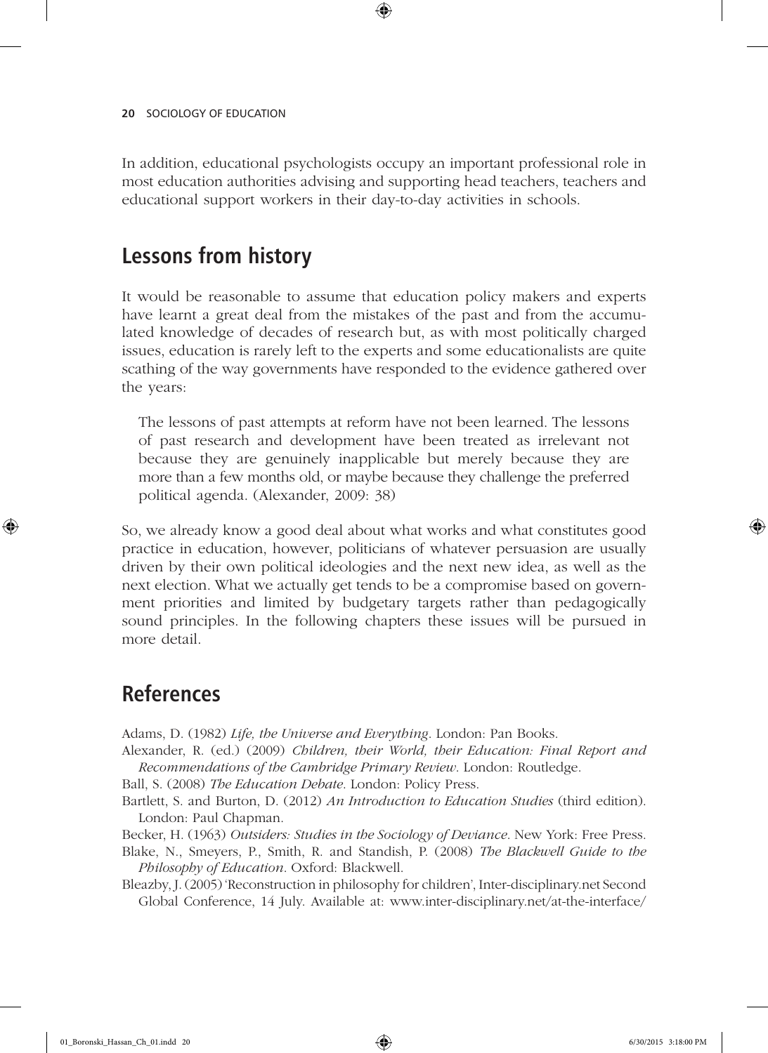In addition, educational psychologists occupy an important professional role in most education authorities advising and supporting head teachers, teachers and educational support workers in their day-to-day activities in schools.

⊕

## **Lessons from history**

It would be reasonable to assume that education policy makers and experts have learnt a great deal from the mistakes of the past and from the accumulated knowledge of decades of research but, as with most politically charged issues, education is rarely left to the experts and some educationalists are quite scathing of the way governments have responded to the evidence gathered over the years:

The lessons of past attempts at reform have not been learned. The lessons of past research and development have been treated as irrelevant not because they are genuinely inapplicable but merely because they are more than a few months old, or maybe because they challenge the preferred political agenda. (Alexander, 2009: 38)

So, we already know a good deal about what works and what constitutes good practice in education, however, politicians of whatever persuasion are usually driven by their own political ideologies and the next new idea, as well as the next election. What we actually get tends to be a compromise based on government priorities and limited by budgetary targets rather than pedagogically sound principles. In the following chapters these issues will be pursued in more detail.

## **References**

♠

Adams, D. (1982) *Life, the Universe and Everything*. London: Pan Books.

- Alexander, R. (ed.) (2009) *Children, their World, their Education: Final Report and Recommendations of the Cambridge Primary Review*. London: Routledge.
- Ball, S. (2008) *The Education Debate*. London: Policy Press.
- Bartlett, S. and Burton, D. (2012) *An Introduction to Education Studies* (third edition). London: Paul Chapman.
- Becker, H. (1963) *Outsiders: Studies in the Sociology of Deviance*. New York: Free Press.
- Blake, N., Smeyers, P., Smith, R. and Standish, P. (2008) *The Blackwell Guide to the Philosophy of Education*. Oxford: Blackwell.
- Bleazby, J. (2005) 'Reconstruction in philosophy for children', Inter-disciplinary.net Second Global Conference, 14 July. Available at: www.inter-disciplinary.net/at-the-interface/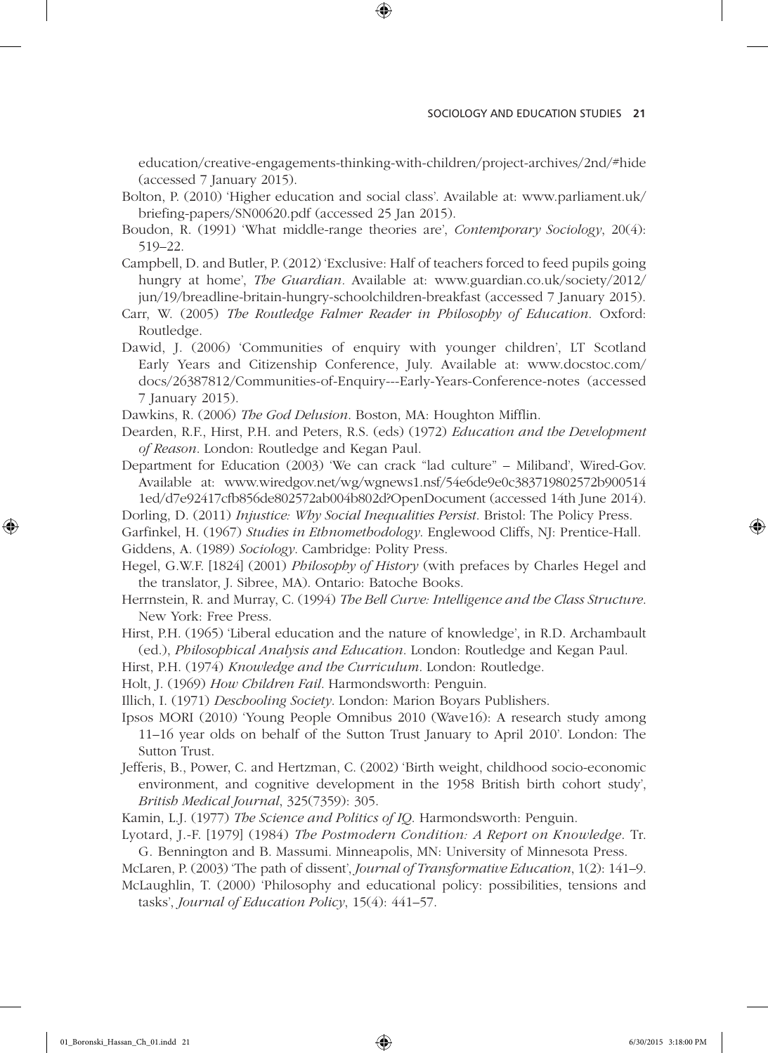education/creative-engagements-thinking-with-children/project-archives/2nd/#hide (accessed 7 January 2015).

Bolton, P. (2010) 'Higher education and social class'. Available at: www.parliament.uk/ briefing-papers/SN00620.pdf (accessed 25 Jan 2015).

⊕

Boudon, R. (1991) 'What middle-range theories are', *Contemporary Sociology*, 20(4): 519–22.

Campbell, D. and Butler, P. (2012) 'Exclusive: Half of teachers forced to feed pupils going hungry at home', *The Guardian.* Available at: www.guardian.co.uk/society/2012/ jun/19/breadline-britain-hungry-schoolchildren-breakfast (accessed 7 January 2015).

- Carr, W. (2005) *The Routledge Falmer Reader in Philosophy of Education*. Oxford: Routledge.
- Dawid, J. (2006) 'Communities of enquiry with younger children', LT Scotland Early Years and Citizenship Conference, July. Available at: www.docstoc.com/ docs/26387812/Communities-of-Enquiry---Early-Years-Conference-notes (accessed 7 January 2015).

Dawkins, R. (2006) *The God Delusion*. Boston, MA: Houghton Mifflin.

- Dearden, R.F., Hirst, P.H. and Peters, R.S. (eds) (1972) *Education and the Development of Reason*. London: Routledge and Kegan Paul.
- Department for Education (2003) 'We can crack "lad culture" Miliband', Wired-Gov. Available at: www.wiredgov.net/wg/wgnews1.nsf/54e6de9e0c383719802572b900514 1ed/d7e92417cfb856de802572ab004b802d?OpenDocument (accessed 14th June 2014).

Dorling, D. (2011) *Injustice: Why Social Inequalities Persist*. Bristol: The Policy Press.

- Garfinkel, H. (1967) *Studies in Ethnomethodology*. Englewood Cliffs, NJ: Prentice-Hall. Giddens, A. (1989) *Sociology*. Cambridge: Polity Press.
- Hegel, G.W.F. [1824] (2001) *Philosophy of History* (with prefaces by Charles Hegel and the translator, J. Sibree, MA). Ontario: Batoche Books.
- Herrnstein, R. and Murray, C. (1994) *The Bell Curve: Intelligence and the Class Structure*. New York: Free Press.
- Hirst, P.H. (1965) 'Liberal education and the nature of knowledge', in R.D. Archambault (ed.), *Philosophical Analysis and Education*. London: Routledge and Kegan Paul.

Hirst, P.H. (1974) *Knowledge and the Curriculum*. London: Routledge.

- Holt, J. (1969) *How Children Fail*. Harmondsworth: Penguin.
- Illich, I. (1971) *Deschooling Society*. London: Marion Boyars Publishers.
- Ipsos MORI (2010) 'Young People Omnibus 2010 (Wave16): A research study among 11–16 year olds on behalf of the Sutton Trust January to April 2010'. London: The Sutton Trust.
- Jefferis, B., Power, C. and Hertzman, C. (2002) 'Birth weight, childhood socio-economic environment, and cognitive development in the 1958 British birth cohort study', *British Medical Journal*, 325(7359): 305.

Kamin, L.J. (1977) *The Science and Politics of IQ*. Harmondsworth: Penguin.

Lyotard, J.-F. [1979] (1984) *The Postmodern Condition: A Report on Knowledge*. Tr. G. Bennington and B. Massumi. Minneapolis, MN: University of Minnesota Press.

McLaren, P. (2003) 'The path of dissent', *Journal of Transformative Education*, 1(2): 141–9.

McLaughlin, T. (2000) 'Philosophy and educational policy: possibilities, tensions and tasks', *Journal of Education Policy*, 15(4): 441–57.

⊕